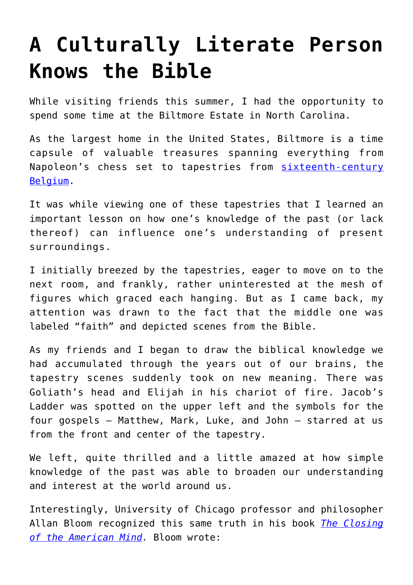## **[A Culturally Literate Person](https://intellectualtakeout.org/2016/10/a-culturally-literate-person-knows-the-bible/) [Knows the Bible](https://intellectualtakeout.org/2016/10/a-culturally-literate-person-knows-the-bible/)**

While visiting friends this summer, I had the opportunity to spend some time at the Biltmore Estate in North Carolina.

As the largest home in the United States, Biltmore is a time capsule of valuable treasures spanning everything from Napoleon's chess set to tapestries from [sixteenth-century](http://www.biltmore.com/blog/article/eternal-virtue-the-triumph-of-faith-in-the-tapestry-gallery) [Belgium](http://www.biltmore.com/blog/article/eternal-virtue-the-triumph-of-faith-in-the-tapestry-gallery).

It was while viewing one of these tapestries that I learned an important lesson on how one's knowledge of the past (or lack thereof) can influence one's understanding of present surroundings.

I initially breezed by the tapestries, eager to move on to the next room, and frankly, rather uninterested at the mesh of figures which graced each hanging. But as I came back, my attention was drawn to the fact that the middle one was labeled "faith" and depicted scenes from the Bible.

As my friends and I began to draw the biblical knowledge we had accumulated through the years out of our brains, the tapestry scenes suddenly took on new meaning. There was Goliath's head and Elijah in his chariot of fire. Jacob's Ladder was spotted on the upper left and the symbols for the four gospels – Matthew, Mark, Luke, and John – starred at us from the front and center of the tapestry.

We left, quite thrilled and a little amazed at how simple knowledge of the past was able to broaden our understanding and interest at the world around us.

Interestingly, University of Chicago professor and philosopher Allan Bloom recognized this same truth in his book *[The Closing](https://www.amazon.com/gp/product/1451683200/ref=as_li_qf_sp_asin_il_tl?ie=UTF8&tag=intelltakeo0d-20&camp=1789&creative=9325&linkCode=as2&creativeASIN=1451683200&linkId=f7b61b8a37ed5236925cec66bdbd883b) [of the American Mind](https://www.amazon.com/gp/product/1451683200/ref=as_li_qf_sp_asin_il_tl?ie=UTF8&tag=intelltakeo0d-20&camp=1789&creative=9325&linkCode=as2&creativeASIN=1451683200&linkId=f7b61b8a37ed5236925cec66bdbd883b).* Bloom wrote: